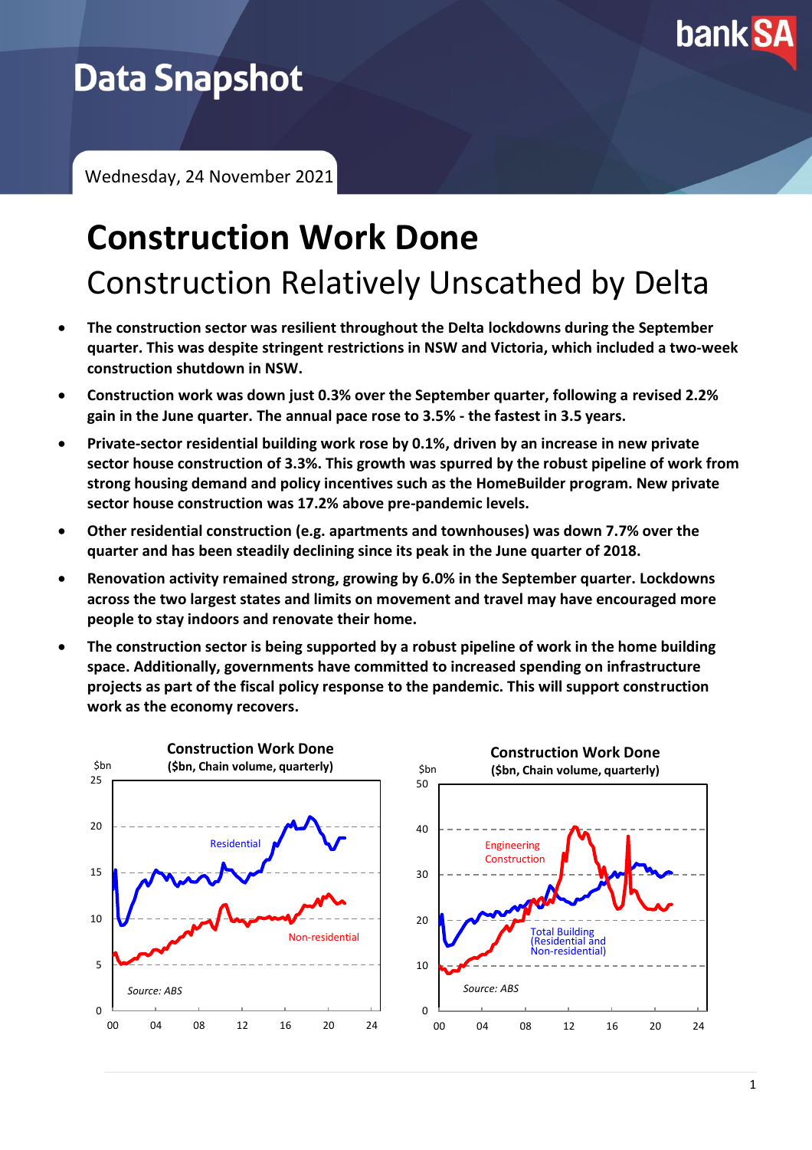

# **Data Snapshot**

Wednesday, 24 November 2021

# **Construction Work Done** Construction Relatively Unscathed by Delta

- **The construction sector was resilient throughout the Delta lockdowns during the September quarter. This was despite stringent restrictions in NSW and Victoria, which included a two-week construction shutdown in NSW.**
- **Construction work was down just 0.3% over the September quarter, following a revised 2.2% gain in the June quarter. The annual pace rose to 3.5% - the fastest in 3.5 years.**
- **Private-sector residential building work rose by 0.1%, driven by an increase in new private sector house construction of 3.3%. This growth was spurred by the robust pipeline of work from strong housing demand and policy incentives such as the HomeBuilder program. New private sector house construction was 17.2% above pre-pandemic levels.**
- **Other residential construction (e.g. apartments and townhouses) was down 7.7% over the quarter and has been steadily declining since its peak in the June quarter of 2018.**
- **Renovation activity remained strong, growing by 6.0% in the September quarter. Lockdowns across the two largest states and limits on movement and travel may have encouraged more people to stay indoors and renovate their home.**
- **The construction sector is being supported by a robust pipeline of work in the home building space. Additionally, governments have committed to increased spending on infrastructure projects as part of the fiscal policy response to the pandemic. This will support construction work as the economy recovers.**

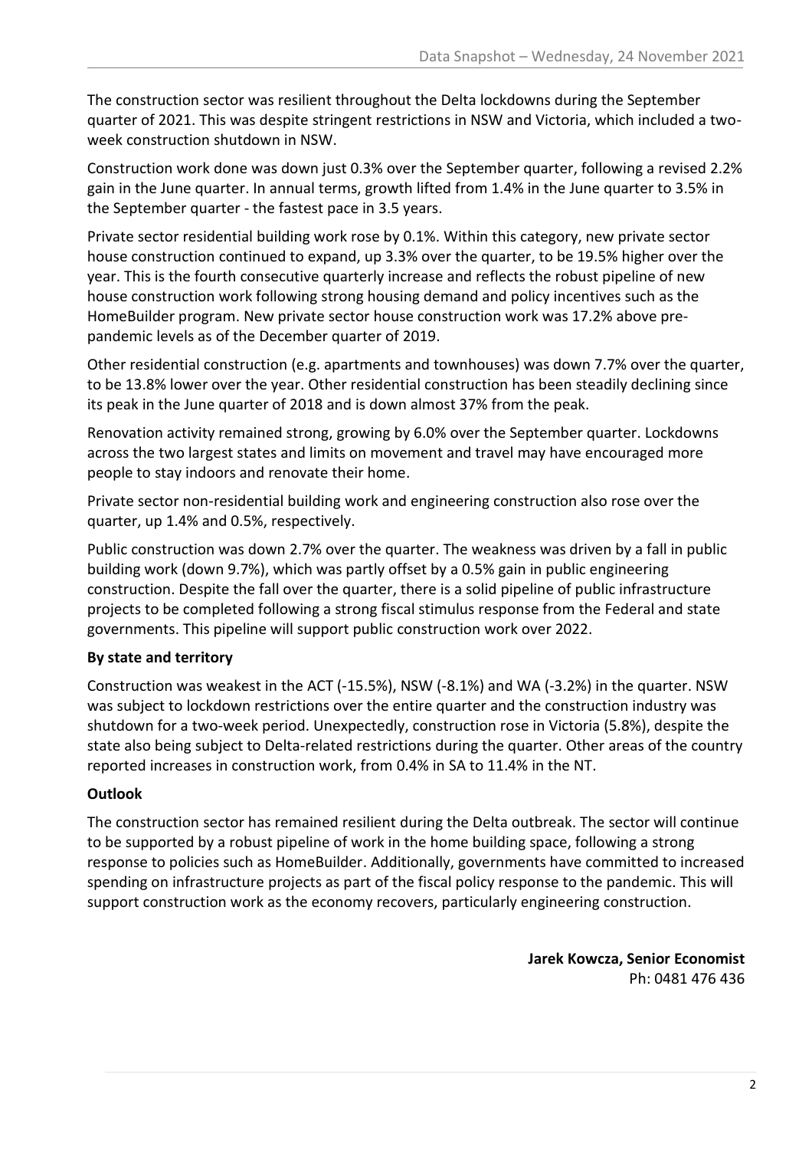The construction sector was resilient throughout the Delta lockdowns during the September quarter of 2021. This was despite stringent restrictions in NSW and Victoria, which included a twoweek construction shutdown in NSW.

Construction work done was down just 0.3% over the September quarter, following a revised 2.2% gain in the June quarter. In annual terms, growth lifted from 1.4% in the June quarter to 3.5% in the September quarter - the fastest pace in 3.5 years.

Private sector residential building work rose by 0.1%. Within this category, new private sector house construction continued to expand, up 3.3% over the quarter, to be 19.5% higher over the year. This is the fourth consecutive quarterly increase and reflects the robust pipeline of new house construction work following strong housing demand and policy incentives such as the HomeBuilder program. New private sector house construction work was 17.2% above prepandemic levels as of the December quarter of 2019.

Other residential construction (e.g. apartments and townhouses) was down 7.7% over the quarter, to be 13.8% lower over the year. Other residential construction has been steadily declining since its peak in the June quarter of 2018 and is down almost 37% from the peak.

Renovation activity remained strong, growing by 6.0% over the September quarter. Lockdowns across the two largest states and limits on movement and travel may have encouraged more people to stay indoors and renovate their home.

Private sector non-residential building work and engineering construction also rose over the quarter, up 1.4% and 0.5%, respectively.

Public construction was down 2.7% over the quarter. The weakness was driven by a fall in public building work (down 9.7%), which was partly offset by a 0.5% gain in public engineering construction. Despite the fall over the quarter, there is a solid pipeline of public infrastructure projects to be completed following a strong fiscal stimulus response from the Federal and state governments. This pipeline will support public construction work over 2022.

## **By state and territory**

Construction was weakest in the ACT (-15.5%), NSW (-8.1%) and WA (-3.2%) in the quarter. NSW was subject to lockdown restrictions over the entire quarter and the construction industry was shutdown for a two-week period. Unexpectedly, construction rose in Victoria (5.8%), despite the state also being subject to Delta-related restrictions during the quarter. Other areas of the country reported increases in construction work, from 0.4% in SA to 11.4% in the NT.

## **Outlook**

The construction sector has remained resilient during the Delta outbreak. The sector will continue to be supported by a robust pipeline of work in the home building space, following a strong response to policies such as HomeBuilder. Additionally, governments have committed to increased spending on infrastructure projects as part of the fiscal policy response to the pandemic. This will support construction work as the economy recovers, particularly engineering construction.

> **Jarek Kowcza, Senior Economist** Ph: 0481 476 436